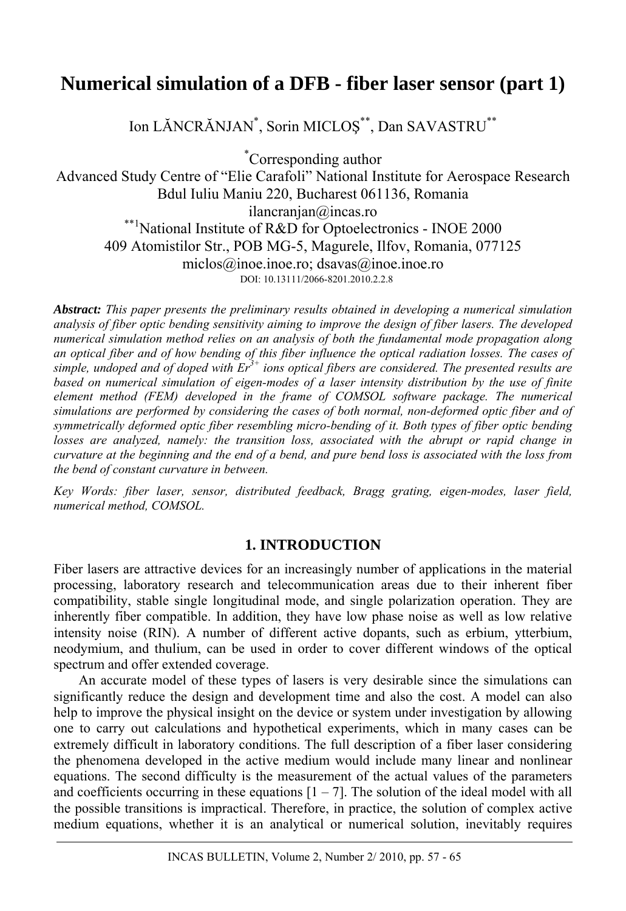# **Numerical simulation of a DFB - fiber laser sensor (part 1)**

Ion LĂNCRĂNJAN\* , Sorin MICLOŞ\*\*, Dan SAVASTRU\*\*

\* Corresponding author

Advanced Study Centre of "Elie Carafoli" National Institute for Aerospace Research Bdul Iuliu Maniu 220, Bucharest 061136, Romania ilancranjan@incas.ro \*\*1National Institute of R&D for Optoelectronics - INOE 2000 409 Atomistilor Str., POB MG-5, Magurele, Ilfov, Romania, 077125 miclos@inoe.inoe.ro; dsavas@inoe.inoe.ro DOI: 10.13111/2066-8201.2010.2.2.8

*Abstract: This paper presents the preliminary results obtained in developing a numerical simulation analysis of fiber optic bending sensitivity aiming to improve the design of fiber lasers. The developed numerical simulation method relies on an analysis of both the fundamental mode propagation along an optical fiber and of how bending of this fiber influence the optical radiation losses. The cases of simple, undoped and of doped with Er3+ ions optical fibers are considered. The presented results are based on numerical simulation of eigen-modes of a laser intensity distribution by the use of finite element method (FEM) developed in the frame of COMSOL software package. The numerical simulations are performed by considering the cases of both normal, non-deformed optic fiber and of symmetrically deformed optic fiber resembling micro-bending of it. Both types of fiber optic bending losses are analyzed, namely: the transition loss, associated with the abrupt or rapid change in curvature at the beginning and the end of a bend, and pure bend loss is associated with the loss from the bend of constant curvature in between.* 

*Key Words: fiber laser, sensor, distributed feedback, Bragg grating, eigen-modes, laser field, numerical method, COMSOL.*

# **1. INTRODUCTION**

Fiber lasers are attractive devices for an increasingly number of applications in the material processing, laboratory research and telecommunication areas due to their inherent fiber compatibility, stable single longitudinal mode, and single polarization operation. They are inherently fiber compatible. In addition, they have low phase noise as well as low relative intensity noise (RIN). A number of different active dopants, such as erbium, ytterbium, neodymium, and thulium, can be used in order to cover different windows of the optical spectrum and offer extended coverage.

An accurate model of these types of lasers is very desirable since the simulations can significantly reduce the design and development time and also the cost. A model can also help to improve the physical insight on the device or system under investigation by allowing one to carry out calculations and hypothetical experiments, which in many cases can be extremely difficult in laboratory conditions. The full description of a fiber laser considering the phenomena developed in the active medium would include many linear and nonlinear equations. The second difficulty is the measurement of the actual values of the parameters and coefficients occurring in these equations  $[1 - 7]$ . The solution of the ideal model with all the possible transitions is impractical. Therefore, in practice, the solution of complex active medium equations, whether it is an analytical or numerical solution, inevitably requires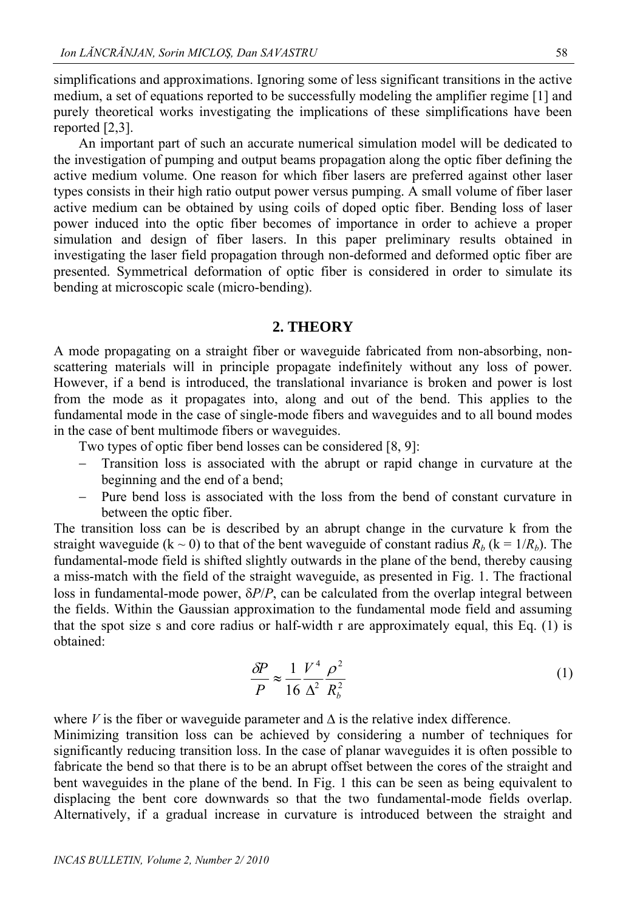simplifications and approximations. Ignoring some of less significant transitions in the active medium, a set of equations reported to be successfully modeling the amplifier regime [1] and purely theoretical works investigating the implications of these simplifications have been reported [2,3].

An important part of such an accurate numerical simulation model will be dedicated to the investigation of pumping and output beams propagation along the optic fiber defining the active medium volume. One reason for which fiber lasers are preferred against other laser types consists in their high ratio output power versus pumping. A small volume of fiber laser active medium can be obtained by using coils of doped optic fiber. Bending loss of laser power induced into the optic fiber becomes of importance in order to achieve a proper simulation and design of fiber lasers. In this paper preliminary results obtained in investigating the laser field propagation through non-deformed and deformed optic fiber are presented. Symmetrical deformation of optic fiber is considered in order to simulate its bending at microscopic scale (micro-bending).

### **2. THEORY**

A mode propagating on a straight fiber or waveguide fabricated from non-absorbing, nonscattering materials will in principle propagate indefinitely without any loss of power. However, if a bend is introduced, the translational invariance is broken and power is lost from the mode as it propagates into, along and out of the bend. This applies to the fundamental mode in the case of single-mode fibers and waveguides and to all bound modes in the case of bent multimode fibers or waveguides.

Two types of optic fiber bend losses can be considered [8, 9]:

- Transition loss is associated with the abrupt or rapid change in curvature at the beginning and the end of a bend;
- Pure bend loss is associated with the loss from the bend of constant curvature in between the optic fiber.

The transition loss can be is described by an abrupt change in the curvature k from the straight waveguide ( $k \sim 0$ ) to that of the bent waveguide of constant radius  $R_b$  ( $k = 1/R_b$ ). The fundamental-mode field is shifted slightly outwards in the plane of the bend, thereby causing a miss-match with the field of the straight waveguide, as presented in Fig. 1. The fractional loss in fundamental-mode power,  $\delta P/P$ , can be calculated from the overlap integral between the fields. Within the Gaussian approximation to the fundamental mode field and assuming that the spot size s and core radius or half-width r are approximately equal, this Eq. (1) is obtained:

$$
\frac{\delta P}{P} \approx \frac{1}{16} \frac{V^4}{\Delta^2} \frac{\rho^2}{R_b^2} \tag{1}
$$

where  $V$  is the fiber or waveguide parameter and  $\Delta$  is the relative index difference.

Minimizing transition loss can be achieved by considering a number of techniques for significantly reducing transition loss. In the case of planar waveguides it is often possible to fabricate the bend so that there is to be an abrupt offset between the cores of the straight and bent waveguides in the plane of the bend. In Fig. 1 this can be seen as being equivalent to displacing the bent core downwards so that the two fundamental-mode fields overlap. Alternatively, if a gradual increase in curvature is introduced between the straight and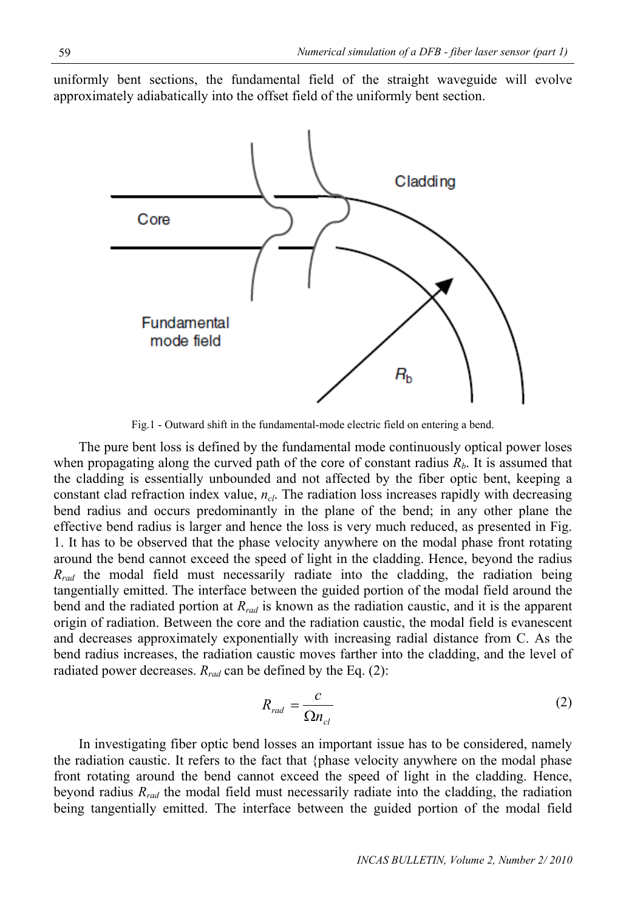uniformly bent sections, the fundamental field of the straight waveguide will evolve approximately adiabatically into the offset field of the uniformly bent section.



Fig.1 - Outward shift in the fundamental-mode electric field on entering a bend.

The pure bent loss is defined by the fundamental mode continuously optical power loses when propagating along the curved path of the core of constant radius  $R_b$ . It is assumed that the cladding is essentially unbounded and not affected by the fiber optic bent, keeping a constant clad refraction index value,  $n_{cl}$ . The radiation loss increases rapidly with decreasing bend radius and occurs predominantly in the plane of the bend; in any other plane the effective bend radius is larger and hence the loss is very much reduced, as presented in Fig. 1. It has to be observed that the phase velocity anywhere on the modal phase front rotating around the bend cannot exceed the speed of light in the cladding. Hence, beyond the radius *R<sub>rad</sub>* the modal field must necessarily radiate into the cladding, the radiation being tangentially emitted. The interface between the guided portion of the modal field around the bend and the radiated portion at *Rrad* is known as the radiation caustic, and it is the apparent origin of radiation. Between the core and the radiation caustic, the modal field is evanescent and decreases approximately exponentially with increasing radial distance from C. As the bend radius increases, the radiation caustic moves farther into the cladding, and the level of radiated power decreases.  $R_{rad}$  can be defined by the Eq. (2):

$$
R_{rad} = \frac{c}{\Omega n_{cl}} \tag{2}
$$

In investigating fiber optic bend losses an important issue has to be considered, namely the radiation caustic. It refers to the fact that {phase velocity anywhere on the modal phase front rotating around the bend cannot exceed the speed of light in the cladding. Hence, beyond radius *Rrad* the modal field must necessarily radiate into the cladding, the radiation being tangentially emitted. The interface between the guided portion of the modal field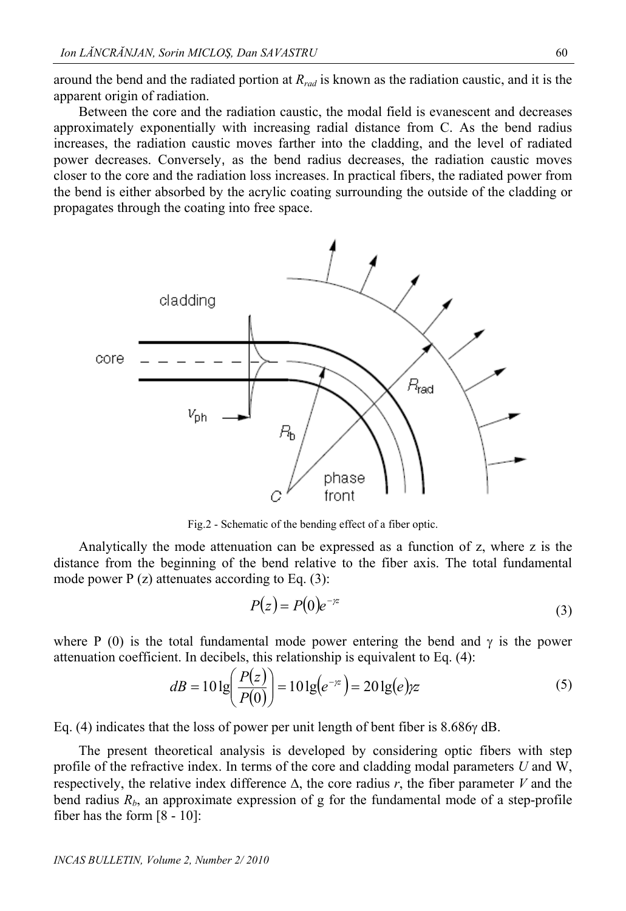around the bend and the radiated portion at *Rrad* is known as the radiation caustic, and it is the apparent origin of radiation.

Between the core and the radiation caustic, the modal field is evanescent and decreases approximately exponentially with increasing radial distance from C. As the bend radius increases, the radiation caustic moves farther into the cladding, and the level of radiated power decreases. Conversely, as the bend radius decreases, the radiation caustic moves closer to the core and the radiation loss increases. In practical fibers, the radiated power from the bend is either absorbed by the acrylic coating surrounding the outside of the cladding or propagates through the coating into free space.



Fig.2 - Schematic of the bending effect of a fiber optic.

Analytically the mode attenuation can be expressed as a function of z, where z is the distance from the beginning of the bend relative to the fiber axis. The total fundamental mode power  $P(z)$  attenuates according to Eq. (3):

$$
P(z) = P(0)e^{-\gamma z} \tag{3}
$$

where P (0) is the total fundamental mode power entering the bend and  $\gamma$  is the power attenuation coefficient. In decibels, this relationship is equivalent to Eq. (4):

$$
dB = 10 \lg \left( \frac{P(z)}{P(0)} \right) = 10 \lg (e^{-\gamma z}) = 20 \lg (e) \gamma z \tag{5}
$$

Eq. (4) indicates that the loss of power per unit length of bent fiber is  $8.686\gamma$  dB.

The present theoretical analysis is developed by considering optic fibers with step profile of the refractive index. In terms of the core and cladding modal parameters *U* and W, respectively, the relative index difference  $\Delta$ , the core radius *r*, the fiber parameter *V* and the bend radius  $R_b$ , an approximate expression of g for the fundamental mode of a step-profile fiber has the form [8 - 10]: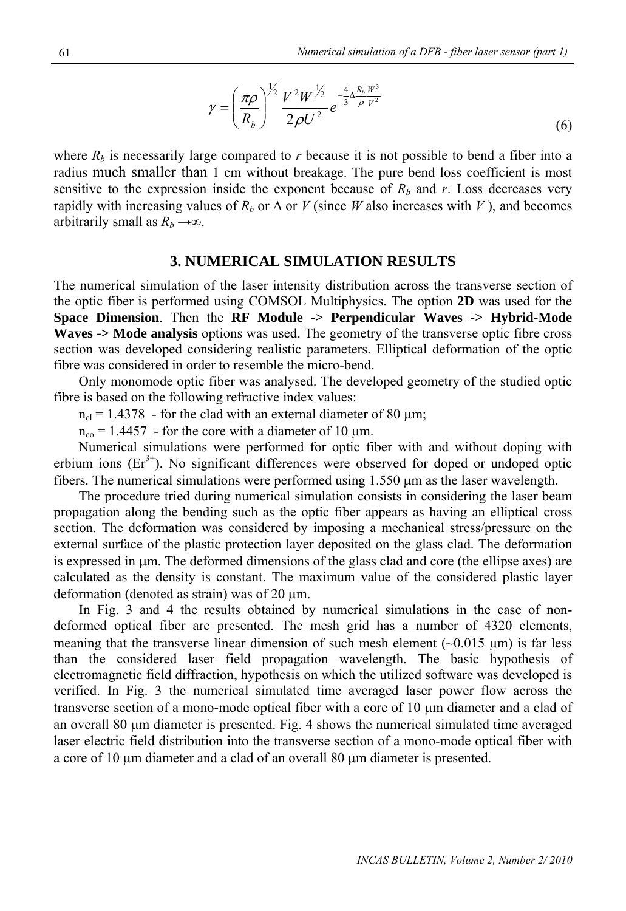$$
\gamma = \left(\frac{\pi \rho}{R_b}\right)^{\frac{1}{2}} \frac{V^2 W^{\frac{1}{2}}}{2\rho U^2} e^{-\frac{4}{3} \Delta \frac{R_b W^3}{\rho V^2}}
$$
(6)

where  $R_b$  is necessarily large compared to *r* because it is not possible to bend a fiber into a radius much smaller than 1 cm without breakage. The pure bend loss coefficient is most sensitive to the expression inside the exponent because of  $R<sub>b</sub>$  and  $r$ . Loss decreases very rapidly with increasing values of  $R_b$  or  $\Delta$  or *V* (since *W* also increases with *V*), and becomes arbitrarily small as  $R_b \rightarrow \infty$ .

#### **3. NUMERICAL SIMULATION RESULTS**

The numerical simulation of the laser intensity distribution across the transverse section of the optic fiber is performed using COMSOL Multiphysics. The option **2D** was used for the **Space Dimension**. Then the **RF Module -> Perpendicular Waves -> Hybrid-Mode Waves -> Mode analysis** options was used. The geometry of the transverse optic fibre cross section was developed considering realistic parameters. Elliptical deformation of the optic fibre was considered in order to resemble the micro-bend.

 Only monomode optic fiber was analysed. The developed geometry of the studied optic fibre is based on the following refractive index values:

 $n_{\rm cl}$  = 1.4378 - for the clad with an external diameter of 80  $\mu$ m;

 $n_{\rm co} = 1.4457$  - for the core with a diameter of 10 µm.

Numerical simulations were performed for optic fiber with and without doping with erbium ions  $(Er^{3+})$ . No significant differences were observed for doped or undoped optic fibers. The numerical simulations were performed using  $1.550 \mu m$  as the laser wavelength.

The procedure tried during numerical simulation consists in considering the laser beam propagation along the bending such as the optic fiber appears as having an elliptical cross section. The deformation was considered by imposing a mechanical stress/pressure on the external surface of the plastic protection layer deposited on the glass clad. The deformation is expressed in  $\mu$ m. The deformed dimensions of the glass clad and core (the ellipse axes) are calculated as the density is constant. The maximum value of the considered plastic layer deformation (denoted as strain) was of 20  $\mu$ m.

In Fig. 3 and 4 the results obtained by numerical simulations in the case of nondeformed optical fiber are presented. The mesh grid has a number of 4320 elements, meaning that the transverse linear dimension of such mesh element  $(\sim 0.015 \text{ }\mu\text{m})$  is far less than the considered laser field propagation wavelength. The basic hypothesis of electromagnetic field diffraction, hypothesis on which the utilized software was developed is verified. In Fig. 3 the numerical simulated time averaged laser power flow across the transverse section of a mono-mode optical fiber with a core of  $10 \mu m$  diameter and a clad of an overall 80  $\mu$ m diameter is presented. Fig. 4 shows the numerical simulated time averaged laser electric field distribution into the transverse section of a mono-mode optical fiber with a core of 10  $\mu$ m diameter and a clad of an overall 80  $\mu$ m diameter is presented.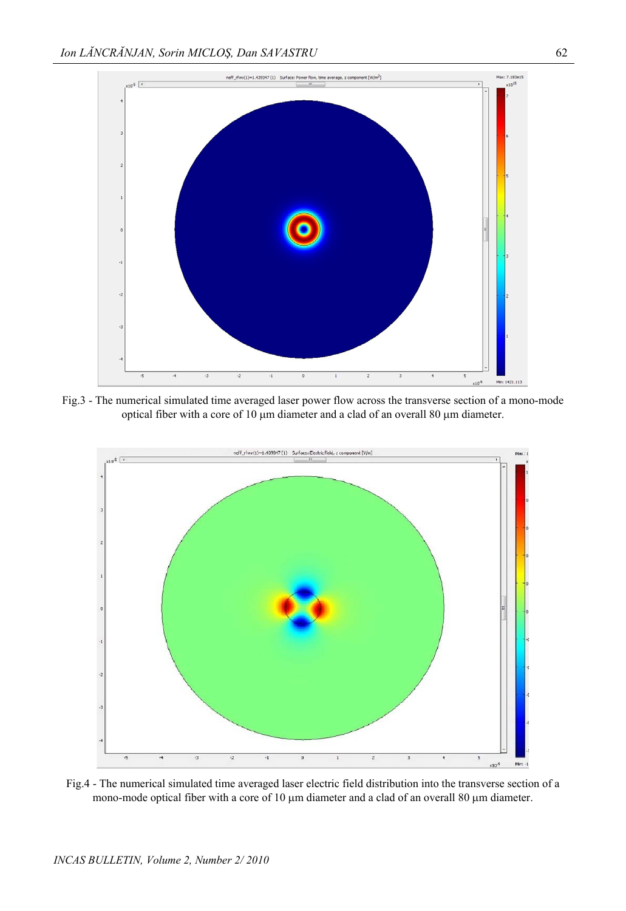

Fig.3 - The numerical simulated time averaged laser power flow across the transverse section of a mono-mode optical fiber with a core of 10  $\mu$ m diameter and a clad of an overall 80  $\mu$ m diameter.



Fig.4 - The numerical simulated time averaged laser electric field distribution into the transverse section of a mono-mode optical fiber with a core of 10  $\mu$ m diameter and a clad of an overall 80  $\mu$ m diameter.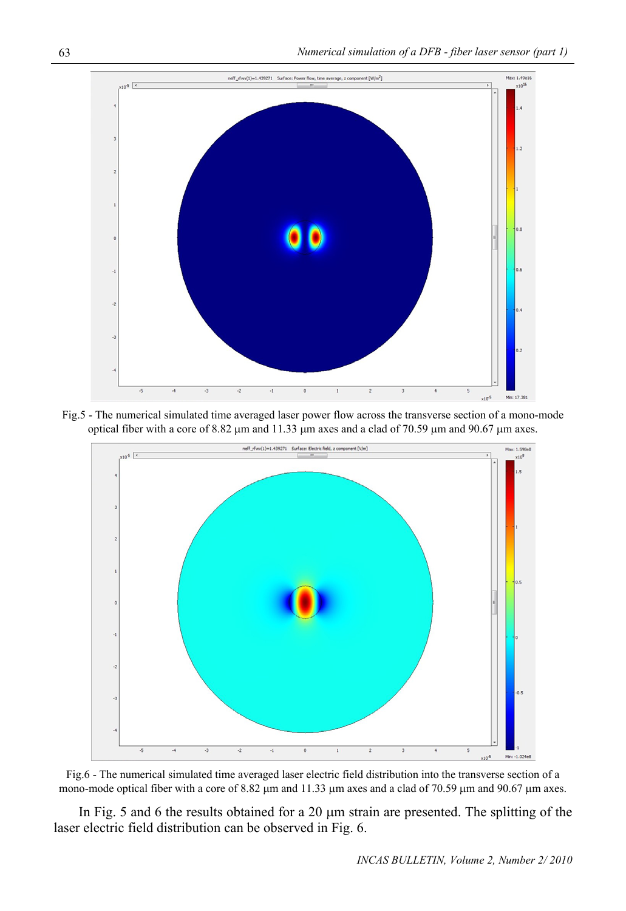

Fig.5 - The numerical simulated time averaged laser power flow across the transverse section of a mono-mode optical fiber with a core of  $8.82 \mu m$  and  $11.33 \mu m$  axes and a clad of 70.59  $\mu m$  and 90.67  $\mu m$  axes.



Fig.6 - The numerical simulated time averaged laser electric field distribution into the transverse section of a mono-mode optical fiber with a core of 8.82  $\mu$ m and 11.33  $\mu$ m axes and a clad of 70.59  $\mu$ m and 90.67  $\mu$ m axes.

In Fig. 5 and 6 the results obtained for a 20  $\mu$ m strain are presented. The splitting of the laser electric field distribution can be observed in Fig. 6.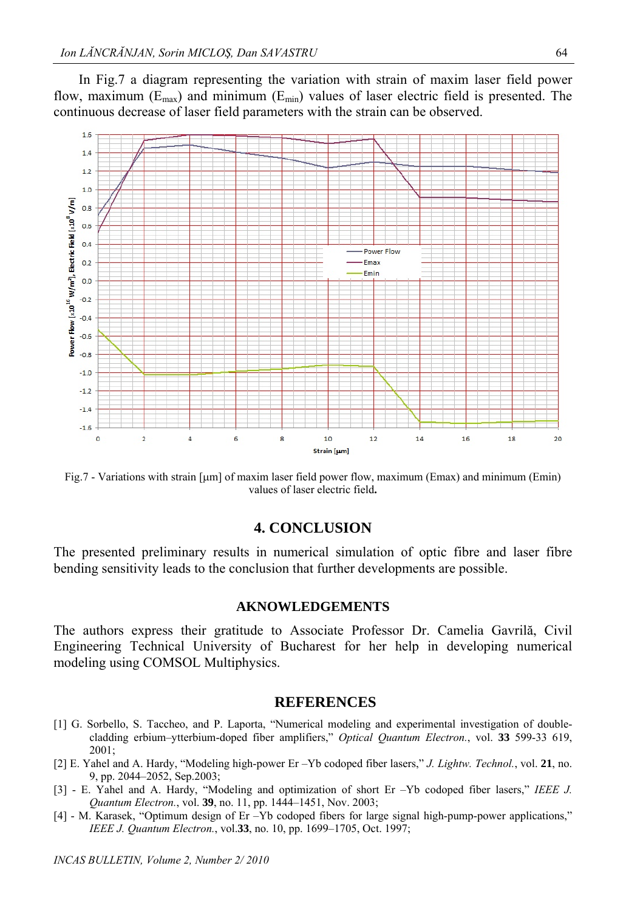In Fig.7 a diagram representing the variation with strain of maxim laser field power flow, maximum  $(E_{\text{max}})$  and minimum  $(E_{\text{min}})$  values of laser electric field is presented. The continuous decrease of laser field parameters with the strain can be observed.



Fig.7 - Variations with strain [µm] of maxim laser field power flow, maximum (Emax) and minimum (Emin) values of laser electric field**.** 

## **4. CONCLUSION**

The presented preliminary results in numerical simulation of optic fibre and laser fibre bending sensitivity leads to the conclusion that further developments are possible.

#### **AKNOWLEDGEMENTS**

The authors express their gratitude to Associate Professor Dr. Camelia Gavrilă, Civil Engineering Technical University of Bucharest for her help in developing numerical modeling using COMSOL Multiphysics.

#### **REFERENCES**

- [1] G. Sorbello, S. Taccheo, and P. Laporta, "Numerical modeling and experimental investigation of doublecladding erbium–ytterbium-doped fiber amplifiers," *Optical Quantum Electron.*, vol. **33** 599-33 619, 2001;
- [2] E. Yahel and A. Hardy, "Modeling high-power Er –Yb codoped fiber lasers," *J. Lightw. Technol.*, vol. **21**, no. 9, pp. 2044–2052, Sep.2003;
- [3] E. Yahel and A. Hardy, "Modeling and optimization of short Er –Yb codoped fiber lasers," *IEEE J. Quantum Electron.*, vol. **39**, no. 11, pp. 1444–1451, Nov. 2003;
- [4] M. Karasek, "Optimum design of Er –Yb codoped fibers for large signal high-pump-power applications," *IEEE J. Quantum Electron.*, vol.**33**, no. 10, pp. 1699–1705, Oct. 1997;